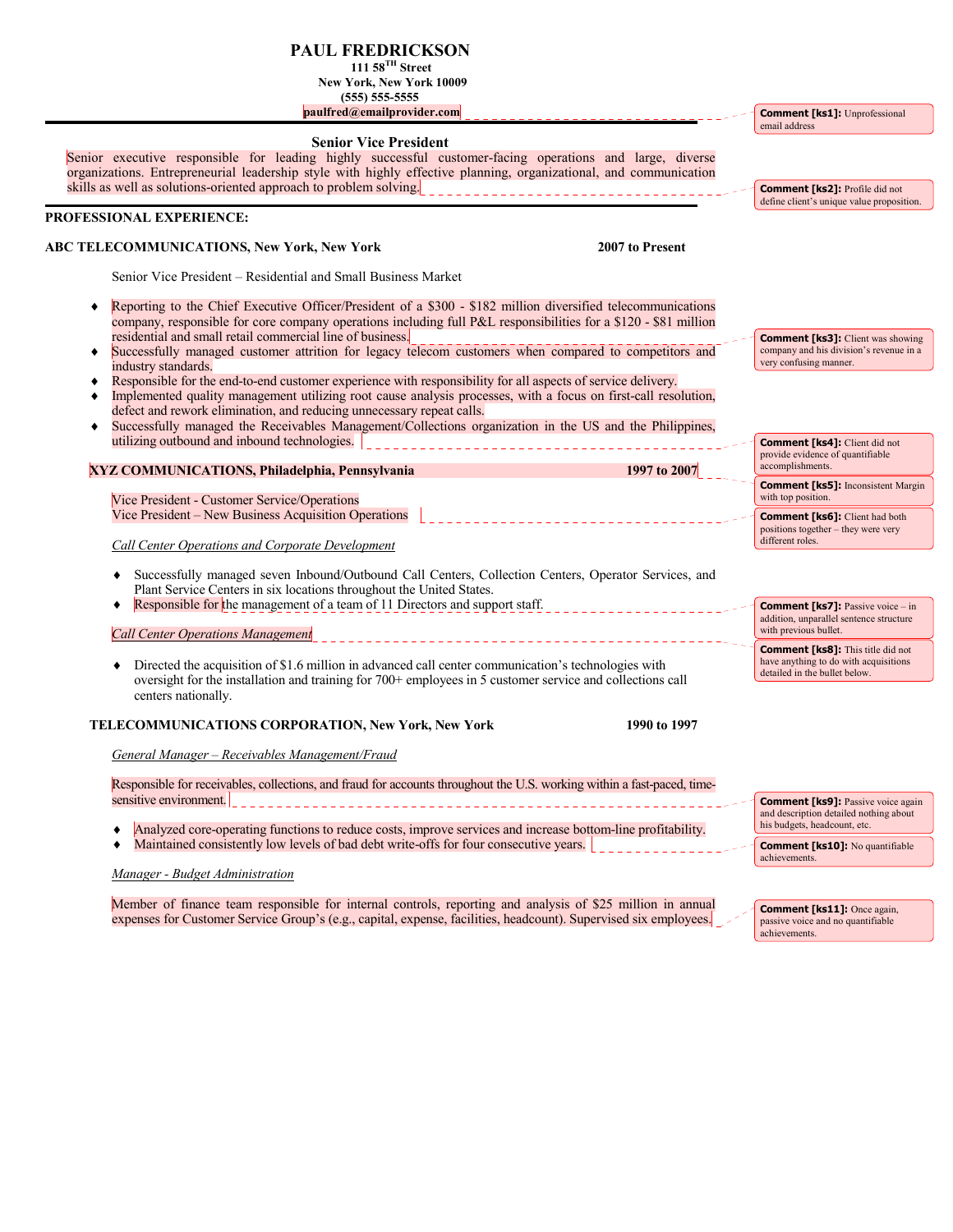## **PAUL FREDRICKSON**

**111 58TH Street** 

 $\blacksquare$ 

 **New York, New York 10009 (555) 555-5555** 

 **paulfred@emailprovider.com** 

| paulfred@emailprovider.com                                                                                                                                                                                                                                                                                                                                                                                                       | <b>Comment [ks1]:</b> Unprofessional<br>email address                                                               |
|----------------------------------------------------------------------------------------------------------------------------------------------------------------------------------------------------------------------------------------------------------------------------------------------------------------------------------------------------------------------------------------------------------------------------------|---------------------------------------------------------------------------------------------------------------------|
| <b>Senior Vice President</b><br>Senior executive responsible for leading highly successful customer-facing operations and large, diverse<br>organizations. Entrepreneurial leadership style with highly effective planning, organizational, and communication<br>skills as well as solutions-oriented approach to problem solving.                                                                                               | <b>Comment [ks2]:</b> Profile did not                                                                               |
|                                                                                                                                                                                                                                                                                                                                                                                                                                  | define client's unique value proposition.                                                                           |
| PROFESSIONAL EXPERIENCE:                                                                                                                                                                                                                                                                                                                                                                                                         |                                                                                                                     |
| ABC TELECOMMUNICATIONS, New York, New York<br>2007 to Present                                                                                                                                                                                                                                                                                                                                                                    |                                                                                                                     |
| Senior Vice President – Residential and Small Business Market                                                                                                                                                                                                                                                                                                                                                                    |                                                                                                                     |
| Reporting to the Chief Executive Officer/President of a \$300 - \$182 million diversified telecommunications<br>company, responsible for core company operations including full P&L responsibilities for a \$120 - \$81 million                                                                                                                                                                                                  |                                                                                                                     |
| residential and small retail commercial line of business.<br>Successfully managed customer attrition for legacy telecom customers when compared to competitors and<br>٠<br>industry standards.                                                                                                                                                                                                                                   | <b>Comment [ks3]:</b> Client was showing<br>company and his division's revenue in a<br>very confusing manner.       |
| Responsible for the end-to-end customer experience with responsibility for all aspects of service delivery.<br>٠<br>Implemented quality management utilizing root cause analysis processes, with a focus on first-call resolution,<br>٠<br>defect and rework elimination, and reducing unnecessary repeat calls.<br>Successfully managed the Receivables Management/Collections organization in the US and the Philippines,<br>٠ |                                                                                                                     |
| utilizing outbound and inbound technologies.<br>1997 to 2007<br>XYZ COMMUNICATIONS, Philadelphia, Pennsylvania                                                                                                                                                                                                                                                                                                                   | <b>Comment [ks4]:</b> Client did not<br>provide evidence of quantifiable<br>accomplishments.                        |
| Vice President - Customer Service/Operations                                                                                                                                                                                                                                                                                                                                                                                     | <b>Comment [ks5]:</b> Inconsistent Margin<br>with top position.                                                     |
| Vice President – New Business Acquisition Operations                                                                                                                                                                                                                                                                                                                                                                             | <b>Comment [ks6]:</b> Client had both<br>positions together – they were very                                        |
| Call Center Operations and Corporate Development                                                                                                                                                                                                                                                                                                                                                                                 | different roles.                                                                                                    |
| Successfully managed seven Inbound/Outbound Call Centers, Collection Centers, Operator Services, and<br>Plant Service Centers in six locations throughout the United States.                                                                                                                                                                                                                                                     |                                                                                                                     |
| Responsible for the management of a team of 11 Directors and support staff.<br>100 Hz 이 사이 시간 시간 시간 시간<br><b>Call Center Operations Management</b>                                                                                                                                                                                                                                                                               | <b>Comment [ks7]:</b> Passive voice – in<br>addition, unparallel sentence structure<br>with previous bullet.        |
| Directed the acquisition of \$1.6 million in advanced call center communication's technologies with<br>oversight for the installation and training for 700+ employees in 5 customer service and collections call                                                                                                                                                                                                                 | <b>Comment [ks8]:</b> This title did not<br>have anything to do with acquisitions<br>detailed in the bullet below.  |
| centers nationally.                                                                                                                                                                                                                                                                                                                                                                                                              |                                                                                                                     |
| <b>TELECOMMUNICATIONS CORPORATION, New York, New York</b><br>1990 to 1997                                                                                                                                                                                                                                                                                                                                                        |                                                                                                                     |
| General Manager – Receivables Management/Fraud                                                                                                                                                                                                                                                                                                                                                                                   |                                                                                                                     |
| Responsible for receivables, collections, and fraud for accounts throughout the U.S. working within a fast-paced, time-                                                                                                                                                                                                                                                                                                          |                                                                                                                     |
| sensitive environment.<br>Analyzed core-operating functions to reduce costs, improve services and increase bottom-line profitability.                                                                                                                                                                                                                                                                                            | <b>Comment [ks9]:</b> Passive voice again<br>and description detailed nothing about<br>his budgets, headcount, etc. |
| Maintained consistently low levels of bad debt write-offs for four consecutive years.                                                                                                                                                                                                                                                                                                                                            | <b>Comment [ks10]:</b> No quantifiable<br>achievements.                                                             |
| Manager - Budget Administration                                                                                                                                                                                                                                                                                                                                                                                                  |                                                                                                                     |

Member of finance team responsible for internal controls, reporting and analysis of \$25 million in annual expenses for Customer Service Group's (e.g., capital, expense, facilities, headcount). Supervised six employees.

**Comment [ks11]:** Once again, passive voice and no quantifiable achievements.